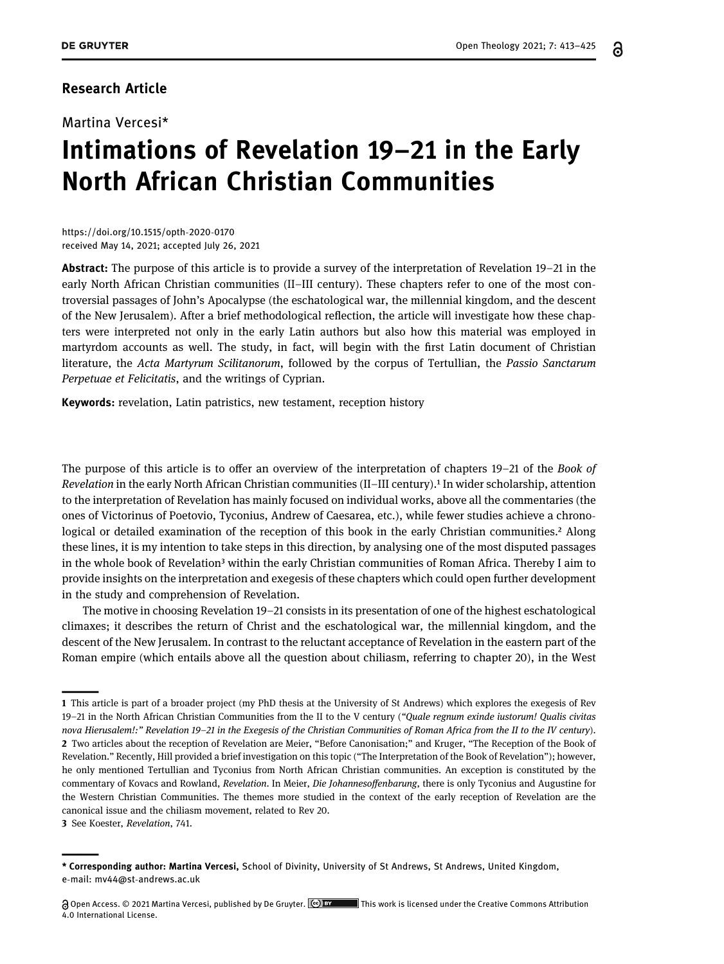## Research Article

Martina Vercesi\*

## Intimations of Revelation 19–21 in the Early North African Christian Communities

[https://doi.org/10.1515/opth](https://doi.org/10.1515/opth-2020-0170)-2020-0170 received May 14, 2021; accepted July 26, 2021

Abstract: The purpose of this article is to provide a survey of the interpretation of Revelation 19–21 in the early North African Christian communities (II–III century). These chapters refer to one of the most controversial passages of John's Apocalypse (the eschatological war, the millennial kingdom, and the descent of the New Jerusalem). After a brief methodological reflection, the article will investigate how these chapters were interpreted not only in the early Latin authors but also how this material was employed in martyrdom accounts as well. The study, in fact, will begin with the first Latin document of Christian literature, the Acta Martyrum Scilitanorum, followed by the corpus of Tertullian, the Passio Sanctarum Perpetuae et Felicitatis, and the writings of Cyprian.

Keywords: revelation, Latin patristics, new testament, reception history

The purpose of this article is to offer an overview of the interpretation of chapters 19–21 of the Book of Revelation in the early North African Christian communities  $(II-III$  century).<sup>1</sup> In wider scholarship, attention to the interpretation of Revelation has mainly focused on individual works, above all the commentaries (the ones of Victorinus of Poetovio, Tyconius, Andrew of Caesarea, etc.), while fewer studies achieve a chronological or detailed examination of the reception of this book in the early Christian communities.<sup>2</sup> Along these lines, it is my intention to take steps in this direction, by analysing one of the most disputed passages in the whole book of Revelation<sup>3</sup> within the early Christian communities of Roman Africa. Thereby I aim to provide insights on the interpretation and exegesis of these chapters which could open further development in the study and comprehension of Revelation.

The motive in choosing Revelation 19–21 consists in its presentation of one of the highest eschatological climaxes; it describes the return of Christ and the eschatological war, the millennial kingdom, and the descent of the New Jerusalem. In contrast to the reluctant acceptance of Revelation in the eastern part of the Roman empire (which entails above all the question about chiliasm, referring to chapter 20), in the West

<span id="page-0-2"></span>3 See [Koester](#page-11-1), Revelation, 741.

<span id="page-0-1"></span><span id="page-0-0"></span><sup>1</sup> This article is part of a broader project (my PhD thesis at the University of St Andrews) which explores the exegesis of Rev 19–21 in the North African Christian Communities from the II to the V century ("Quale regnum exinde iustorum! Qualis civitas nova Hierusalem!:" Revelation 19–21 in the Exegesis of the Christian Communities of Roman Africa from the II to the IV century). 2 Two articles about the reception of Revelation are [Meier](#page-12-0), "Before Canonisation;" and [Kruger,](#page-11-0) "The Reception of the Book of Revelation." Recently, Hill provided a brief investigation on this topic ("The Interpretation of the Book of Revelation"); however, he only mentioned Tertullian and Tyconius from North African Christian communities. An exception is constituted by the commentary of Kovacs and Rowland, Revelation. In [Meier,](#page-12-0) Die Johannesoffenbarung, there is only Tyconius and Augustine for the Western Christian Communities. The themes more studied in the context of the early reception of Revelation are the canonical issue and the chiliasm movement, related to Rev 20.

<sup>\*</sup> Corresponding author: Martina Vercesi, School of Divinity, University of St Andrews, St Andrews, United Kingdom, e-mail: mv44@st-[andrews.ac.uk](mailto:mv44@st-andrews.ac.uk)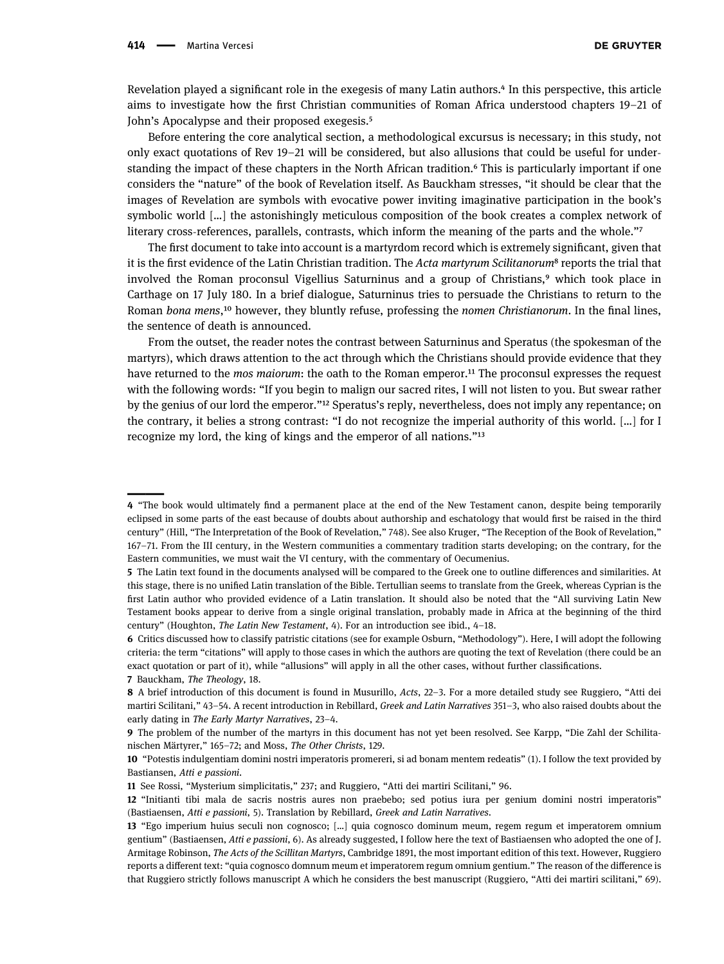Revelation played a significant role in the exegesis of many Latin authors.<sup>4</sup> In this perspective, this article aims to investigate how the first Christian communities of Roman Africa understood chapters 19–21 of John's Apocalypse and their proposed exegesis.<sup>5</sup>

Before entering the core analytical section, a methodological excursus is necessary; in this study, not only exact quotations of Rev 19–21 will be considered, but also allusions that could be useful for understanding the impact of these chapters in the North African tradition. This is particularly important if one considers the "nature" of the book of Revelation itself. As Bauckham stresses, "it should be clear that the images of Revelation are symbols with evocative power inviting imaginative participation in the book's symbolic world […] the astonishingly meticulous composition of the book creates a complex network of literary cross-references, parallels, contrasts, which inform the meaning of the parts and the whole."

The first document to take into account is a martyrdom record which is extremely significant, given that it is the first evidence of the Latin Christian tradition. The Acta martyrum Scilitanorum<sup>8</sup> reports the trial that involved the Roman proconsul Vigellius Saturninus and a group of Christians,<sup>9</sup> which took place in Carthage on 17 July 180. In a brief dialogue, Saturninus tries to persuade the Christians to return to the Roman bona mens,<sup>10</sup> however, they bluntly refuse, professing the nomen Christianorum. In the final lines, the sentence of death is announced.

From the outset, the reader notes the contrast between Saturninus and Speratus (the spokesman of the martyrs), which draws attention to the act through which the Christians should provide evidence that they have returned to the *mos maiorum*: the oath to the Roman emperor.<sup>11</sup> The proconsul expresses the request with the following words: "If you begin to malign our sacred rites, I will not listen to you. But swear rather by the genius of our lord the emperor."<sup>12</sup> Speratus's reply, nevertheless, does not imply any repentance; on the contrary, it belies a strong contrast: "I do not recognize the imperial authority of this world. […] for I recognize my lord, the king of kings and the emperor of all nations."<sup>13</sup>

<span id="page-1-0"></span><sup>4</sup> "The book would ultimately find a permanent place at the end of the New Testament canon, despite being temporarily eclipsed in some parts of the east because of doubts about authorship and eschatology that would first be raised in the third century" (Hill, "The Interpretation of the Book of Revelation," 748). See also [Kruger](#page-11-0), "The Reception of the Book of Revelation," 167–71. From the III century, in the Western communities a commentary tradition starts developing; on the contrary, for the Eastern communities, we must wait the VI century, with the commentary of Oecumenius.

<span id="page-1-1"></span><sup>5</sup> The Latin text found in the documents analysed will be compared to the Greek one to outline differences and similarities. At this stage, there is no unified Latin translation of the Bible. Tertullian seems to translate from the Greek, whereas Cyprian is the first Latin author who provided evidence of a Latin translation. It should also be noted that the "All surviving Latin New Testament books appear to derive from a single original translation, probably made in Africa at the beginning of the third century" ([Houghton](#page-11-2), The Latin New Testament, 4). For an introduction see ibid., 4–18.

<span id="page-1-2"></span><sup>6</sup> Critics discussed how to classify patristic citations (see for example [Osburn,](#page-12-1) "Methodology"). Here, I will adopt the following criteria: the term "citations" will apply to those cases in which the authors are quoting the text of Revelation (there could be an exact quotation or part of it), while "allusions" will apply in all the other cases, without further classifications. 7 [Bauckham,](#page-10-0) The Theology, 18.

<span id="page-1-4"></span><span id="page-1-3"></span><sup>8</sup> A brief introduction of this document is found in [Musurillo](#page-12-2), Acts, 22-3. For a more detailed study see [Ruggiero](#page-12-3), "Atti dei martiri Scilitani," 43-54. A recent introduction in [Rebillard](#page-12-4), Greek and Latin Narratives 351-3, who also raised doubts about the early dating in The Early Martyr Narratives, 23–4.

<span id="page-1-5"></span><sup>9</sup> The problem of the number of the martyrs in this document has not yet been resolved. See [Karpp](#page-11-3), "Die Zahl der Schilitanischen Märtyrer," 165–72; and [Moss](#page-12-5), The Other Christs, 129.

<span id="page-1-6"></span><sup>10</sup> "Potestis indulgentiam domini nostri imperatoris promereri, si ad bonam mentem redeatis" (1). I follow the text provided by Bastiansen, Atti e passioni.

<span id="page-1-7"></span><sup>11</sup> See [Rossi](#page-12-6), "Mysterium simplicitatis," 237; and [Ruggiero](#page-12-3), "Atti dei martiri Scilitani," 96.

<span id="page-1-8"></span><sup>12</sup> "Initianti tibi mala de sacris nostris aures non praebebo; sed potius iura per genium domini nostri imperatoris" ([Bastiaensen](#page-10-1), Atti e passioni, 5). Translation by [Rebillard](#page-12-4), Greek and Latin Narratives.

<span id="page-1-9"></span><sup>13</sup> "Ego imperium huius seculi non cognosco; […] quia cognosco dominum meum, regem regum et imperatorem omnium gentium" ([Bastiaensen](#page-10-1), Atti e passioni, 6). As already suggested, I follow here the text of Bastiaensen who adopted the one of J. Armitage Robinson, The Acts of the Scillitan Martyrs, Cambridge 1891, the most important edition of this text. However, [Ruggiero](#page-12-3) reports a different text: "quia cognosco domnum meum et imperatorem regum omnium gentium." The reason of the difference is that [Ruggiero](#page-12-3) strictly follows manuscript A which he considers the best manuscript ([Ruggiero,](#page-12-3) "Atti dei martiri scilitani," 69).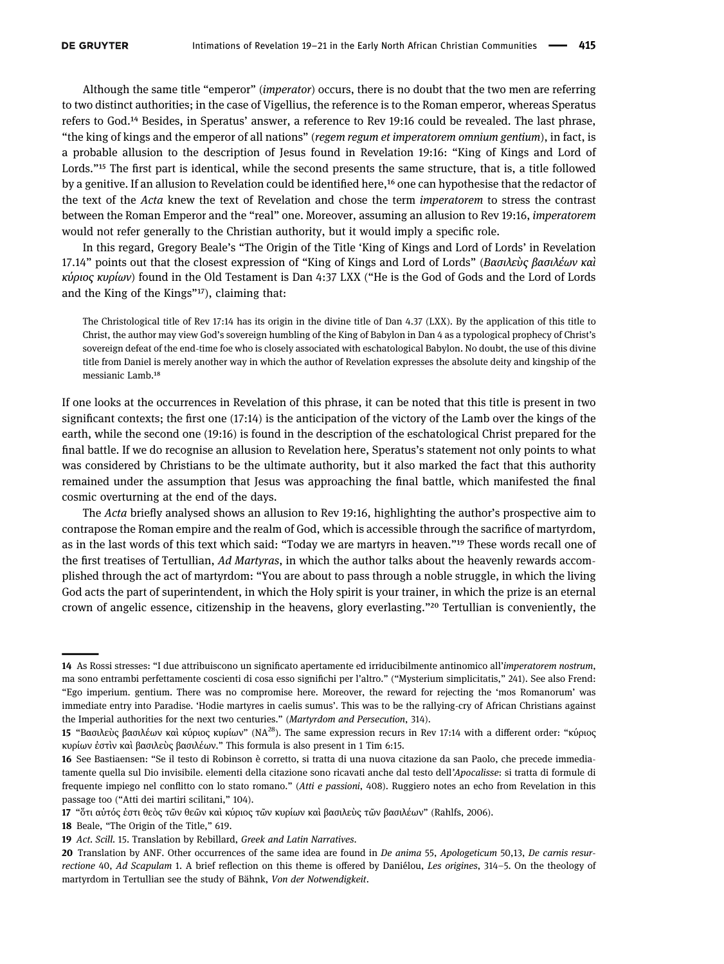Although the same title "emperor" (imperator) occurs, there is no doubt that the two men are referring to two distinct authorities; in the case of Vigellius, the reference is to the Roman emperor, whereas Speratus refers to God.<sup>14</sup> Besides, in Speratus' answer, a reference to Rev 19:16 could be revealed. The last phrase, "the king of kings and the emperor of all nations" (regem regum et imperatorem omnium gentium), in fact, is a probable allusion to the description of Jesus found in Revelation 19:16: "King of Kings and Lord of Lords."<sup>15</sup> The first part is identical, while the second presents the same structure, that is, a title followed by a genitive. If an allusion to Revelation could be identified here,<sup>16</sup> one can hypothesise that the redactor of the text of the Acta knew the text of Revelation and chose the term imperatorem to stress the contrast between the Roman Emperor and the "real" one. Moreover, assuming an allusion to Rev 19:16, imperatorem would not refer generally to the Christian authority, but it would imply a specific role.

In this regard, Gregory Beale's "The Origin of the Title 'King of Kings and Lord of Lords' in Revelation 17.14" points out that the closest expression of "King of Kings and Lord of Lords" (Bασιλεὺς βασιλέων καὶ κύριος κυρίων) found in the Old Testament is Dan 4:37 LXX ("He is the God of Gods and the Lord of Lords and the King of the Kings"<sup>17</sup>), claiming that:

The Christological title of Rev 17:14 has its origin in the divine title of Dan 4.37 (LXX). By the application of this title to Christ, the author may view God's sovereign humbling of the King of Babylon in Dan 4 as a typological prophecy of Christ's sovereign defeat of the end-time foe who is closely associated with eschatological Babylon. No doubt, the use of this divine title from Daniel is merely another way in which the author of Revelation expresses the absolute deity and kingship of the messianic Lamb.<sup>18</sup>

If one looks at the occurrences in Revelation of this phrase, it can be noted that this title is present in two significant contexts; the first one (17:14) is the anticipation of the victory of the Lamb over the kings of the earth, while the second one (19:16) is found in the description of the eschatological Christ prepared for the final battle. If we do recognise an allusion to Revelation here, Speratus's statement not only points to what was considered by Christians to be the ultimate authority, but it also marked the fact that this authority remained under the assumption that Jesus was approaching the final battle, which manifested the final cosmic overturning at the end of the days.

The Acta briefly analysed shows an allusion to Rev 19:16, highlighting the author's prospective aim to contrapose the Roman empire and the realm of God, which is accessible through the sacrifice of martyrdom, as in the last words of this text which said: "Today we are martyrs in heaven."<sup>19</sup> These words recall one of the first treatises of Tertullian, Ad Martyras, in which the author talks about the heavenly rewards accomplished through the act of martyrdom: "You are about to pass through a noble struggle, in which the living God acts the part of superintendent, in which the Holy spirit is your trainer, in which the prize is an eternal crown of angelic essence, citizenship in the heavens, glory everlasting."<sup>20</sup> Tertullian is conveniently, the

<span id="page-2-0"></span><sup>14</sup> As [Rossi](#page-12-6) stresses: "I due attribuiscono un significato apertamente ed irriducibilmente antinomico all'imperatorem nostrum, ma sono entrambi perfettamente coscienti di cosa esso significhi per l'altro." ("Mysterium simplicitatis," 241). See also [Frend:](#page-11-4) "Ego imperium. gentium. There was no compromise here. Moreover, the reward for rejecting the 'mos Romanorum' was immediate entry into Paradise. 'Hodie martyres in caelis sumus'. This was to be the rallying-cry of African Christians against the Imperial authorities for the next two centuries." (Martyrdom and Persecution, 314).

<span id="page-2-1"></span><sup>15 &</sup>quot;Βασιλεὺς βασιλέων καὶ κύριος κυρίων" (NA<sup>28</sup>). The same expression recurs in Rev 17:14 with a different order: "κύριος κυρίων ἐστὶν καὶ βασιλεὺς βασιλέων." This formula is also present in 1 Tim 6:15.

<span id="page-2-2"></span><sup>16</sup> See [Bastiaensen](#page-10-1): "Se il testo di Robinson è corretto, si tratta di una nuova citazione da san Paolo, che precede immediatamente quella sul Dio invisibile. elementi della citazione sono ricavati anche dal testo dell'Apocalisse: si tratta di formule di frequente impiego nel conflitto con lo stato romano." (Atti e passioni, 408). [Ruggiero](#page-12-3) notes an echo from Revelation in this passage too ("Atti dei martiri scilitani," 104).

<span id="page-2-3"></span><sup>17</sup> "ὅτι αὐτός ἐστι θεὸς τῶν θεῶν καὶ κύριος τῶν κυρίων καὶ βασιλεὺς τῶν βασιλέων" (Rahlfs, 2006).

<span id="page-2-4"></span><sup>18</sup> [Beale](#page-10-2), "The Origin of the Title," 619.

<span id="page-2-5"></span><sup>19</sup> Act. Scill. 15. Translation by Rebillard, Greek and Latin Narratives.

<span id="page-2-6"></span><sup>20</sup> Translation by ANF. Other occurrences of the same idea are found in De anima 55, Apologeticum 50,13, De carnis resurrectione 40, Ad Scapulam 1. A brief reflection on this theme is offered by [Daniélou,](#page-11-5) Les origines, 314–5. On the theology of martyrdom in Tertullian see the study of [Bähnk](#page-10-3), Von der Notwendigkeit.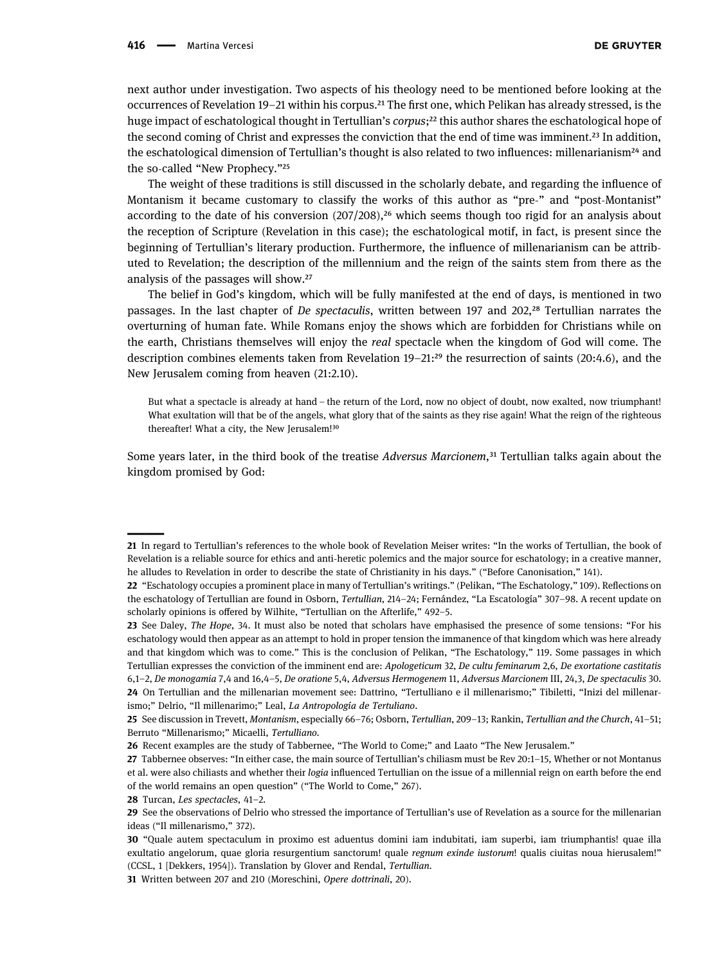next author under investigation. Two aspects of his theology need to be mentioned before looking at the occurrences of Revelation 19–21 within his corpus.<sup>21</sup> The first one, which Pelikan has already stressed, is the huge impact of eschatological thought in Tertullian's corpus;<sup>22</sup> this author shares the eschatological hope of the second coming of Christ and expresses the conviction that the end of time was imminent.<sup>23</sup> In addition, the eschatological dimension of Tertullian's thought is also related to two influences: millenarianism<sup>24</sup> and the so-called "New Prophecy."<sup>25</sup>

The weight of these traditions is still discussed in the scholarly debate, and regarding the influence of Montanism it became customary to classify the works of this author as "pre-" and "post-Montanist" according to the date of his conversion  $(207/208)$ ,<sup>26</sup> which seems though too rigid for an analysis about the reception of Scripture (Revelation in this case); the eschatological motif, in fact, is present since the beginning of Tertullian's literary production. Furthermore, the influence of millenarianism can be attributed to Revelation; the description of the millennium and the reign of the saints stem from there as the analysis of the passages will show.<sup>27</sup>

The belief in God's kingdom, which will be fully manifested at the end of days, is mentioned in two passages. In the last chapter of De spectaculis, written between 197 and 202,<sup>28</sup> Tertullian narrates the overturning of human fate. While Romans enjoy the shows which are forbidden for Christians while on the earth, Christians themselves will enjoy the real spectacle when the kingdom of God will come. The description combines elements taken from Revelation  $19-21$ :<sup>29</sup> the resurrection of saints (20:4.6), and the New Jerusalem coming from heaven (21:2.10).

But what a spectacle is already at hand – the return of the Lord, now no object of doubt, now exalted, now triumphant! What exultation will that be of the angels, what glory that of the saints as they rise again! What the reign of the righteous thereafter! What a city, the New Jerusalem!<sup>30</sup>

Some years later, in the third book of the treatise Adversus Marcionem,<sup>31</sup> Tertullian talks again about the kingdom promised by God:

<span id="page-3-0"></span><sup>21</sup> In regard to Tertullian's references to the whole book of Revelation [Meiser](#page-12-7) writes: "In the works of Tertullian, the book of Revelation is a reliable source for ethics and anti-heretic polemics and the major source for eschatology; in a creative manner, he alludes to Revelation in order to describe the state of Christianity in his days." ("Before Canonisation," 141).

<span id="page-3-1"></span><sup>22</sup> "Eschatology occupies a prominent place in many of Tertullian's writings." ([Pelikan,](#page-12-8) "The Eschatology," 109). Reflections on the eschatology of Tertullian are found in [Osborn,](#page-12-9) Tertullian, 214–24; [Fernández,](#page-11-6) "La Escatología" 307–98. A recent update on scholarly opinions is offered by [Wilhite,](#page-12-10) "Tertullian on the Afterlife," 492–5.

<span id="page-3-2"></span><sup>23</sup> See [Daley,](#page-11-7) The Hope, 34. It must also be noted that scholars have emphasised the presence of some tensions: "For his eschatology would then appear as an attempt to hold in proper tension the immanence of that kingdom which was here already and that kingdom which was to come." This is the conclusion of [Pelikan,](#page-12-8) "The Eschatology," 119. Some passages in which [Tertullian](#page-12-11) expresses the conviction of the imminent end are: Apologeticum 32, De cultu feminarum 2,6, De exortatione castitatis 6,1–2, De monogamia 7,4 and 16,4–5, De oratione 5,4, Adversus Hermogenem 11, Adversus Marcionem III, 24,3, De spectaculis 30. 24 On Tertullian and the millenarian movement see: [Dattrino](#page-11-8), "Tertulliano e il millenarismo;" [Tibiletti](#page-12-12), "Inizi del millenarismo;" [Delrio](#page-11-9), "Il millenarimo;" [Leal](#page-11-10), La Antropología de Tertuliano.

<span id="page-3-4"></span><span id="page-3-3"></span><sup>25</sup> See discussion in [Trevett,](#page-12-13) Montanism, especially 66–76; [Osborn](#page-12-9), Tertullian, 209–13; [Rankin,](#page-12-14) Tertullian and the Church, 41–51; [Berruto](#page-10-4) "Millenarismo;" [Micaelli,](#page-12-15) Tertulliano.

<span id="page-3-5"></span><sup>26</sup> Recent examples are the study of [Tabbernee](#page-12-16), "The World to Come;" and [Laato](#page-11-11) "The New Jerusalem."

<span id="page-3-6"></span><sup>27</sup> Tabbernee observes: "In either case, the main source of Tertullian's chiliasm must be Rev 20:1–15, Whether or not Montanus et al. were also chiliasts and whether their logia influenced Tertullian on the issue of a millennial reign on earth before the end of the world remains an open question" ("The World to Come," 267).

<span id="page-3-7"></span><sup>28</sup> [Turcan,](#page-12-17) Les spectacles, 41–2.

<span id="page-3-8"></span><sup>29</sup> See the observations of [Delrio](#page-11-9) who stressed the importance of Tertullian's use of Revelation as a source for the millenarian ideas ("Il millenarismo," 372).

<span id="page-3-9"></span><sup>30</sup> "Quale autem spectaculum in proximo est aduentus domini iam indubitati, iam superbi, iam triumphantis! quae illa exultatio angelorum, quae gloria resurgentium sanctorum! quale regnum exinde iustorum! qualis ciuitas noua hierusalem!" (CCSL, 1 [Dekkers, 1954]). Translation by [Glover and Rendal](#page-12-11), Tertullian.

<span id="page-3-10"></span><sup>31</sup> Written between 207 and 210 ([Moreschini,](#page-12-18) Opere dottrinali, 20).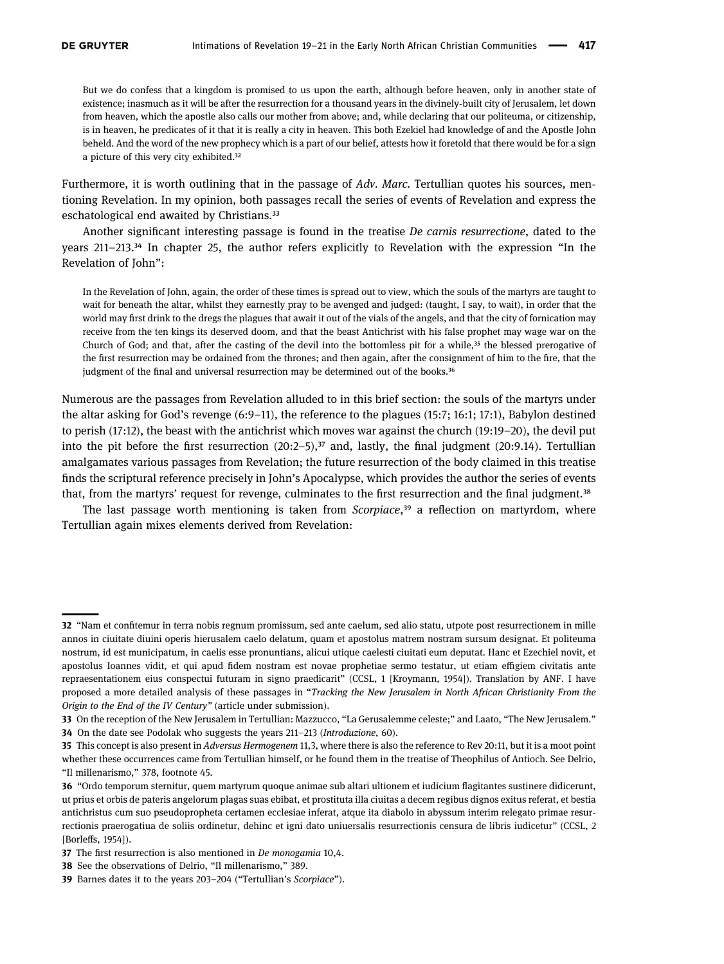But we do confess that a kingdom is promised to us upon the earth, although before heaven, only in another state of existence; inasmuch as it will be after the resurrection for a thousand years in the divinely-built city of Jerusalem, let down from heaven, which the apostle also calls our mother from above; and, while declaring that our politeuma, or citizenship, is in heaven, he predicates of it that it is really a city in heaven. This both Ezekiel had knowledge of and the Apostle John beheld. And the word of the new prophecy which is a part of our belief, attests how it foretold that there would be for a sign a picture of this very city exhibited.<sup>32</sup>

Furthermore, it is worth outlining that in the passage of Adv. Marc. Tertullian quotes his sources, mentioning Revelation. In my opinion, both passages recall the series of events of Revelation and express the eschatological end awaited by Christians.<sup>33</sup>

Another significant interesting passage is found in the treatise De carnis resurrectione, dated to the years  $211-213$ , $34$  In chapter 25, the author refers explicitly to Revelation with the expression "In the Revelation of John":

In the Revelation of John, again, the order of these times is spread out to view, which the souls of the martyrs are taught to wait for beneath the altar, whilst they earnestly pray to be avenged and judged: (taught, I say, to wait), in order that the world may first drink to the dregs the plagues that await it out of the vials of the angels, and that the city of fornication may receive from the ten kings its deserved doom, and that the beast Antichrist with his false prophet may wage war on the Church of God; and that, after the casting of the devil into the bottomless pit for a while, $35$  the blessed prerogative of the first resurrection may be ordained from the thrones; and then again, after the consignment of him to the fire, that the judgment of the final and universal resurrection may be determined out of the books.<sup>36</sup>

Numerous are the passages from Revelation alluded to in this brief section: the souls of the martyrs under the altar asking for God's revenge (6:9–11), the reference to the plagues (15:7; 16:1; 17:1), Babylon destined to perish (17:12), the beast with the antichrist which moves war against the church (19:19–20), the devil put into the pit before the first resurrection  $(20:2-5)$ ,<sup>37</sup> and, lastly, the final judgment  $(20:9.14)$ . Tertullian amalgamates various passages from Revelation; the future resurrection of the body claimed in this treatise finds the scriptural reference precisely in John's Apocalypse, which provides the author the series of events that, from the martyrs' request for revenge, culminates to the first resurrection and the final judgment.<sup>38</sup>

The last passage worth mentioning is taken from *Scorpiace*,<sup>39</sup> a reflection on martyrdom, where Tertullian again mixes elements derived from Revelation:

<span id="page-4-0"></span><sup>32</sup> "Nam et confitemur in terra nobis regnum promissum, sed ante caelum, sed alio statu, utpote post resurrectionem in mille annos in ciuitate diuini operis hierusalem caelo delatum, quam et apostolus matrem nostram sursum designat. Et politeuma nostrum, id est municipatum, in caelis esse pronuntians, alicui utique caelesti ciuitati eum deputat. Hanc et Ezechiel novit, et apostolus Ioannes vidit, et qui apud fidem nostram est novae prophetiae sermo testatur, ut etiam effigiem civitatis ante repraesentationem eius conspectui futuram in signo praedicarit" (CCSL, 1 [Kroymann, 1954]). Translation by ANF. I have proposed a more detailed analysis of these passages in "Tracking the New Jerusalem in North African Christianity From the Origin to the End of the IV Century" (article under submission).

<span id="page-4-2"></span><span id="page-4-1"></span><sup>33</sup> On the reception of the New Jerusalem in Tertullian: [Mazzucco](#page-12-19), "La Gerusalemme celeste;" and [Laato](#page-11-11), "The New Jerusalem." 34 On the date see [Podolak](#page-12-20) who suggests the years 211–213 (Introduzione, 60).

<span id="page-4-3"></span><sup>35</sup> This concept is also present in Adversus Hermogenem 11,3, where there is also the reference to Rev 20:11, but it is a moot point whether these occurrences came from Tertullian himself, or he found them in the treatise of Theophilus of Antioch. See [Delrio](#page-11-9), "Il millenarismo," 378, footnote 45.

<span id="page-4-4"></span><sup>36</sup> "Ordo temporum sternitur, quem martyrum quoque animae sub altari ultionem et iudicium flagitantes sustinere didicerunt, ut prius et orbis de pateris angelorum plagas suas ebibat, et prostituta illa ciuitas a decem regibus dignos exitus referat, et bestia antichristus cum suo pseudopropheta certamen ecclesiae inferat, atque ita diabolo in abyssum interim relegato primae resurrectionis praerogatiua de soliis ordinetur, dehinc et igni dato uniuersalis resurrectionis censura de libris iudicetur" (CCSL, 2 [Borleffs, 1954]).

<span id="page-4-5"></span><sup>37</sup> The first resurrection is also mentioned in De monogamia 10,4.

<span id="page-4-6"></span><sup>38</sup> See the observations of [Delrio,](#page-11-9) "Il millenarismo," 389.

<span id="page-4-7"></span><sup>39</sup> [Barnes](#page-10-5) dates it to the years 203–204 ("Tertullian's Scorpiace").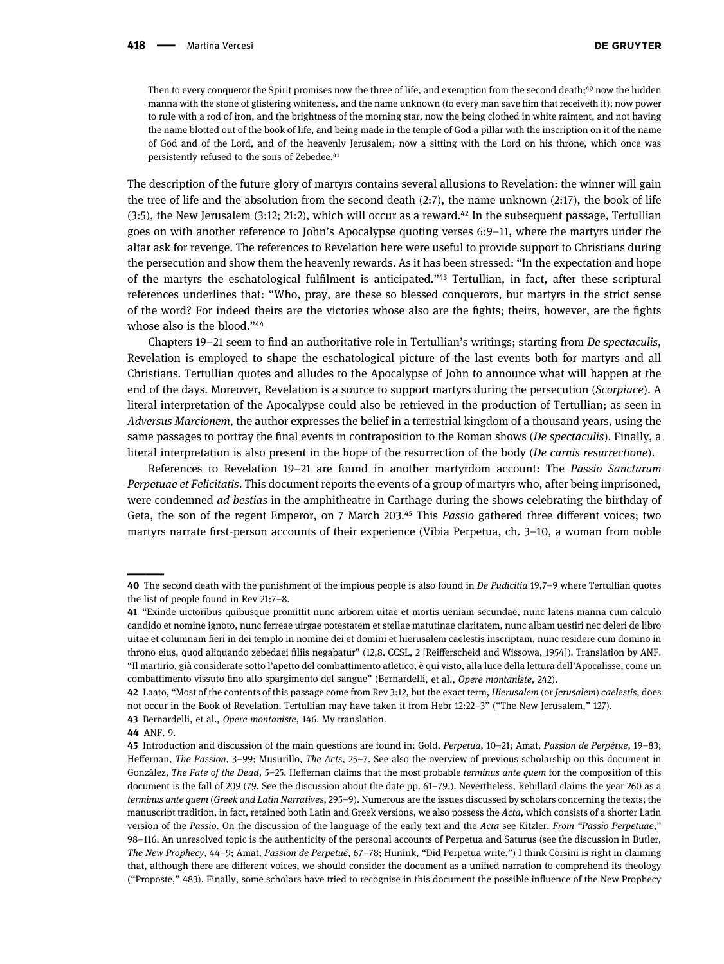Then to every conqueror the Spirit promises now the three of life, and exemption from the second death;<sup>40</sup> now the hidden manna with the stone of glistering whiteness, and the name unknown (to every man save him that receiveth it); now power to rule with a rod of iron, and the brightness of the morning star; now the being clothed in white raiment, and not having the name blotted out of the book of life, and being made in the temple of God a pillar with the inscription on it of the name of God and of the Lord, and of the heavenly Jerusalem; now a sitting with the Lord on his throne, which once was persistently refused to the sons of Zebedee.<sup>41</sup>

The description of the future glory of martyrs contains several allusions to Revelation: the winner will gain the tree of life and the absolution from the second death (2:7), the name unknown (2:17), the book of life  $(3:5)$ , the New Jerusalem  $(3:12; 21:2)$ , which will occur as a reward. $^{42}$  In the subsequent passage, Tertullian goes on with another reference to John's Apocalypse quoting verses 6:9–11, where the martyrs under the altar ask for revenge. The references to Revelation here were useful to provide support to Christians during the persecution and show them the heavenly rewards. As it has been stressed: "In the expectation and hope of the martyrs the eschatological fulfilment is anticipated."<sup>43</sup> Tertullian, in fact, after these scriptural references underlines that: "Who, pray, are these so blessed conquerors, but martyrs in the strict sense of the word? For indeed theirs are the victories whose also are the fights; theirs, however, are the fights whose also is the blood."<sup>44</sup>

Chapters 19–21 seem to find an authoritative role in Tertullian's writings; starting from De spectaculis, Revelation is employed to shape the eschatological picture of the last events both for martyrs and all Christians. Tertullian quotes and alludes to the Apocalypse of John to announce what will happen at the end of the days. Moreover, Revelation is a source to support martyrs during the persecution (Scorpiace). A literal interpretation of the Apocalypse could also be retrieved in the production of Tertullian; as seen in Adversus Marcionem, the author expresses the belief in a terrestrial kingdom of a thousand years, using the same passages to portray the final events in contraposition to the Roman shows (De spectaculis). Finally, a literal interpretation is also present in the hope of the resurrection of the body (De carnis resurrectione).

References to Revelation 19–21 are found in another martyrdom account: The Passio Sanctarum Perpetuae et Felicitatis. This document reports the events of a group of martyrs who, after being imprisoned, were condemned ad bestias in the amphitheatre in Carthage during the shows celebrating the birthday of Geta, the son of the regent Emperor, on 7 March 203.<sup>45</sup> This Passio gathered three different voices; two martyrs narrate first-person accounts of their experience (Vibia Perpetua, ch. 3–10, a woman from noble

<span id="page-5-2"></span>42 [Laato,](#page-11-11) "Most of the contents of this passage come from Rev 3:12, but the exact term, Hierusalem (or Jerusalem) caelestis, does not occur in the Book of Revelation. [Tertullian](#page-12-11) may have taken it from Hebr 12:22–3" ("The New Jerusalem," 127).

<span id="page-5-3"></span>43 [Bernardelli, et al.,](#page-10-6) Opere montaniste, 146. My translation.

<span id="page-5-0"></span><sup>40</sup> The second death with the punishment of the impious people is also found in De Pudicitia 19,7–9 where Tertullian quotes the list of people found in Rev 21:7–8.

<span id="page-5-1"></span><sup>41</sup> "Exinde uictoribus quibusque promittit nunc arborem uitae et mortis ueniam secundae, nunc latens manna cum calculo candido et nomine ignoto, nunc ferreae uirgae potestatem et stellae matutinae claritatem, nunc albam uestiri nec deleri de libro uitae et columnam fieri in dei templo in nomine dei et domini et hierusalem caelestis inscriptam, nunc residere cum domino in throno eius, quod aliquando zebedaei filiis negabatur" (12,8. CCSL, 2 [Reifferscheid and Wissowa, 1954]). Translation by ANF. "Il martirio, già considerate sotto l'apetto del combattimento atletico, è qui visto, alla luce della lettura dell'Apocalisse, come un combattimento vissuto fino allo spargimento del sangue" ([Bernardelli,](#page-10-6) et al., Opere montaniste, 242).

<span id="page-5-4"></span><sup>44</sup> ANF, 9.

<span id="page-5-5"></span><sup>45</sup> Introduction and discussion of the main questions are found in: [Gold](#page-11-12), Perpetua, 10–21; [Amat,](#page-10-7) Passion de Perpétue, 19–83; Heff[ernan](#page-11-13), The Passion, 3–99; [Musurillo,](#page-12-2) The Acts, 25–7. See also the overview of previous scholarship on this document in [González,](#page-11-14) The Fate of the Dead, 5–25. Heff[ernan](#page-11-13) claims that the most probable terminus ante quem for the composition of this document is the fall of 209 (79. See the discussion about the date pp. 61–79.). Nevertheless, [Rebillard](#page-12-4) claims the year 260 as a terminus ante quem (Greek and Latin Narratives, 295–9). Numerous are the issues discussed by scholars concerning the texts; the manuscript tradition, in fact, retained both Latin and Greek versions, we also possess the Acta, which consists of a shorter Latin version of the Passio. On the discussion of the language of the early text and the Acta see [Kitzler,](#page-11-15) From "Passio Perpetuae," 98–116. An unresolved topic is the authenticity of the personal accounts of Perpetua and Saturus (see the discussion in [Butler,](#page-11-16) The New Prophecy, 44–9; [Amat](#page-10-7), Passion de Perpetué, 67–78; [Hunink](#page-11-17), "Did Perpetua write.") I think [Corsini](#page-11-18) is right in claiming that, although there are different voices, we should consider the document as a unified narration to comprehend its theology ("Proposte," 483). Finally, some scholars have tried to recognise in this document the possible influence of the New Prophecy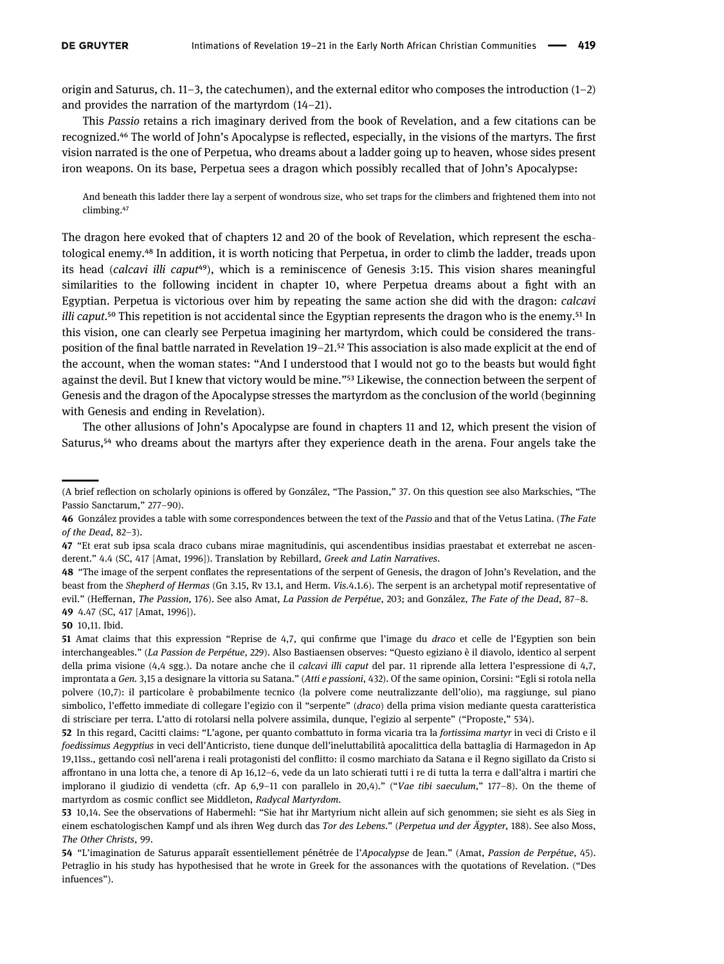origin and Saturus, ch. 11–3, the catechumen), and the external editor who composes the introduction (1–2) and provides the narration of the martyrdom (14–21).

This Passio retains a rich imaginary derived from the book of Revelation, and a few citations can be recognized.<sup>46</sup> The world of John's Apocalypse is reflected, especially, in the visions of the martyrs. The first vision narrated is the one of Perpetua, who dreams about a ladder going up to heaven, whose sides present iron weapons. On its base, Perpetua sees a dragon which possibly recalled that of John's Apocalypse:

And beneath this ladder there lay a serpent of wondrous size, who set traps for the climbers and frightened them into not climbing.<sup>47</sup>

The dragon here evoked that of chapters 12 and 20 of the book of Revelation, which represent the eschatological enemy.<sup>48</sup> In addition, it is worth noticing that Perpetua, in order to climb the ladder, treads upon its head (calcavi illi caput<sup>49</sup>), which is a reminiscence of Genesis 3:15. This vision shares meaningful similarities to the following incident in chapter 10, where Perpetua dreams about a fight with an Egyptian. Perpetua is victorious over him by repeating the same action she did with the dragon: calcavi *illi caput*.<sup>50</sup> This repetition is not accidental since the Egyptian represents the dragon who is the enemy.<sup>51</sup> In this vision, one can clearly see Perpetua imagining her martyrdom, which could be considered the transposition of the final battle narrated in Revelation 19–21.<sup>52</sup> This association is also made explicit at the end of the account, when the woman states: "And I understood that I would not go to the beasts but would fight against the devil. But I knew that victory would be mine."<sup>53</sup> Likewise, the connection between the serpent of Genesis and the dragon of the Apocalypse stresses the martyrdom as the conclusion of the world (beginning with Genesis and ending in Revelation).

The other allusions of John's Apocalypse are found in chapters 11 and 12, which present the vision of Saturus,<sup>54</sup> who dreams about the martyrs after they experience death in the arena. Four angels take the

<span id="page-6-4"></span><span id="page-6-3"></span>50 10,11. Ibid.

<sup>(</sup>A brief reflection on scholarly opinions is offered by [González](#page-11-19), "The Passion," 37. On this question see also [Markschies](#page-12-21), "The Passio Sanctarum," 277-90).

<span id="page-6-0"></span><sup>46</sup> [González](#page-11-14) provides a table with some correspondences between the text of the Passio and that of the Vetus Latina. (The Fate of the Dead, 82–3).

<span id="page-6-1"></span><sup>47</sup> "Et erat sub ipsa scala draco cubans mirae magnitudinis, qui ascendentibus insidias praestabat et exterrebat ne ascenderent." 4.4 (SC, 417 [Amat, [1996](#page-10-7)]). Translation by [Rebillard](#page-12-4), Greek and Latin Narratives.

<span id="page-6-2"></span><sup>48</sup> "The image of the serpent conflates the representations of the serpent of Genesis, the dragon of John's Revelation, and the beast from the Shepherd of Hermas (Gn 3.15, Rv 13.1, and Herm. Vis.4.1.6). The serpent is an archetypal motif representative of evil." (Heff[ernan](#page-11-13), The Passion, 176). See also [Amat](#page-10-7), La Passion de Perpétue, 203; and [González,](#page-11-14) The Fate of the Dead, 87-8. 49 4.47 (SC, 417 [Amat, [1996](#page-10-7)]).

<span id="page-6-5"></span><sup>51</sup> Amat claims that this expression "Reprise de 4,7, qui confirme que l'image du draco et celle de l'Egyptien son bein interchangeables." (La Passion de Perpétue, 229). Also [Bastiaensen](#page-10-1) observes: "Questo egiziano è il diavolo, identico al serpent della prima visione (4,4 sgg.). Da notare anche che il calcavi illi caput del par. 11 riprende alla lettera l'espressione di 4,7, improntata a Gen. 3,15 a designare la vittoria su Satana." (Atti e passioni, 432). Of the same opinion, [Corsini:](#page-11-18) "Egli si rotola nella polvere (10,7): il particolare è probabilmente tecnico (la polvere come neutralizzante dell'olio), ma raggiunge, sul piano simbolico, l'effetto immediate di collegare l'egizio con il "serpente" (draco) della prima vision mediante questa caratteristica di strisciare per terra. L'atto di rotolarsi nella polvere assimila, dunque, l'egizio al serpente" ("Proposte," 534).

<span id="page-6-6"></span><sup>52</sup> In this regard, [Cacitti](#page-11-20) claims: "L'agone, per quanto combattuto in forma vicaria tra la fortissima martyr in veci di Cristo e il foedissimus Aegyptius in veci dell'Anticristo, tiene dunque dell'ineluttabilità apocalittica della battaglia di Harmagedon in Ap 19,11ss., gettando così nell'arena i reali protagonisti del conflitto: il cosmo marchiato da Satana e il Regno sigillato da Cristo si affrontano in una lotta che, a tenore di Ap 16,12–6, vede da un lato schierati tutti i re di tutta la terra e dall'altra i martiri che implorano il giudizio di vendetta (cfr. Ap 6,9–11 con parallelo in 20,4)." ("Vae tibi saeculum," 177–8). On the theme of martyrdom as cosmic conflict see [Middleton,](#page-12-22) Radycal Martyrdom.

<span id="page-6-7"></span><sup>53</sup> 10,14. See the observations of [Habermehl](#page-11-21): "Sie hat ihr Martyrium nicht allein auf sich genommen; sie sieht es als Sieg in einem eschatologischen Kampf und als ihren Weg durch das Tor des Lebens." (Perpetua und der Ägypter, 188). See also [Moss,](#page-12-5) The Other Christs, 99.

<span id="page-6-8"></span><sup>54 &</sup>quot;L'imagination de Saturus apparaît essentiellement pénétrée de l'Apocalypse de Jean." ([Amat,](#page-10-7) Passion de Perpétue, 45). [Petraglio](#page-12-23) in his study has hypothesised that he wrote in Greek for the assonances with the quotations of Revelation. ("Des infuences").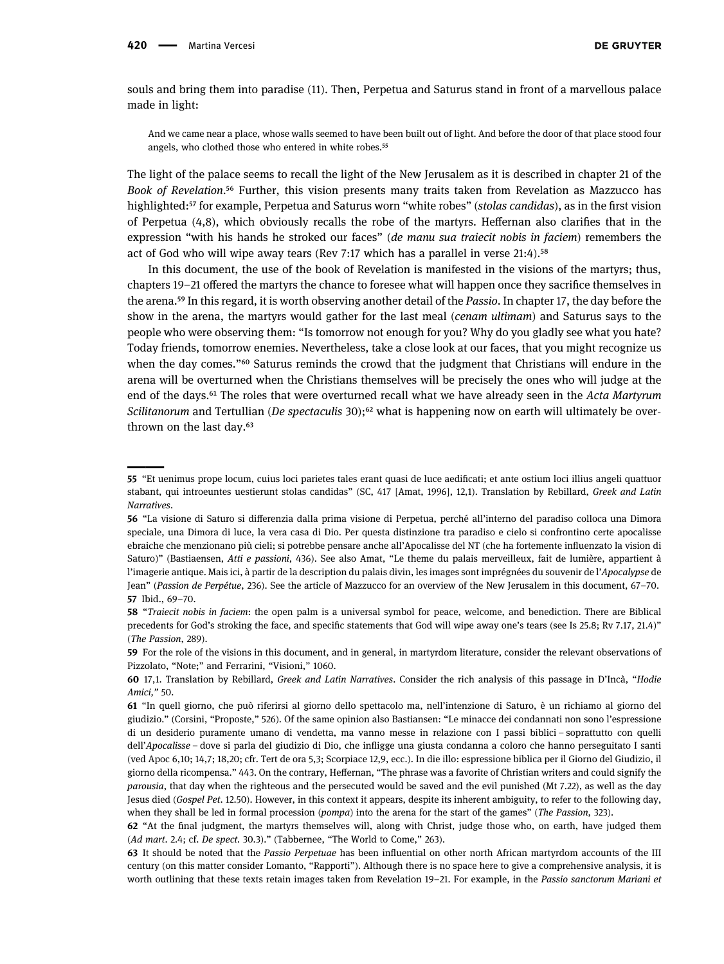souls and bring them into paradise (11). Then, Perpetua and Saturus stand in front of a marvellous palace made in light:

And we came near a place, whose walls seemed to have been built out of light. And before the door of that place stood four angels, who clothed those who entered in white robes.<sup>55</sup>

The light of the palace seems to recall the light of the New Jerusalem as it is described in chapter 21 of the Book of Revelation.<sup>56</sup> Further, this vision presents many traits taken from Revelation as Mazzucco has highlighted:<sup>57</sup> for example, Perpetua and Saturus worn "white robes" (stolas candidas), as in the first vision of Perpetua (4,8), which obviously recalls the robe of the martyrs. Heffernan also clarifies that in the expression "with his hands he stroked our faces" (de manu sua traiecit nobis in faciem) remembers the act of God who will wipe away tears (Rev 7:17 which has a parallel in verse  $21:4$ ).<sup>58</sup>

In this document, the use of the book of Revelation is manifested in the visions of the martyrs; thus, chapters 19–21 offered the martyrs the chance to foresee what will happen once they sacrifice themselves in the arena.<sup>59</sup> In this regard, it is worth observing another detail of the Passio. In chapter 17, the day before the show in the arena, the martyrs would gather for the last meal (cenam ultimam) and Saturus says to the people who were observing them: "Is tomorrow not enough for you? Why do you gladly see what you hate? Today friends, tomorrow enemies. Nevertheless, take a close look at our faces, that you might recognize us when the day comes."<sup>60</sup> Saturus reminds the crowd that the judgment that Christians will endure in the arena will be overturned when the Christians themselves will be precisely the ones who will judge at the end of the days.<sup>61</sup> The roles that were overturned recall what we have already seen in the Acta Martyrum Scilitanorum and Tertullian (De spectaculis 30);<sup>62</sup> what is happening now on earth will ultimately be overthrown on the last day. $63$ 

<span id="page-7-0"></span><sup>55</sup> "Et uenimus prope locum, cuius loci parietes tales erant quasi de luce aedificati; et ante ostium loci illius angeli quattuor stabant, qui introeuntes uestierunt stolas candidas" (SC, 417 [Amat, [1996](#page-10-7)], 12,1). Translation by [Rebillard](#page-12-4), Greek and Latin Narratives.

<span id="page-7-1"></span><sup>56</sup> "La visione di Saturo si differenzia dalla prima visione di Perpetua, perché all'interno del paradiso colloca una Dimora speciale, una Dimora di luce, la vera casa di Dio. Per questa distinzione tra paradiso e cielo si confrontino certe apocalisse ebraiche che menzionano più cieli; si potrebbe pensare anche all'Apocalisse del NT (che ha fortemente influenzato la vision di Saturo)" ([Bastiaensen,](#page-10-1) Atti e passioni, 436). See also [Amat,](#page-10-7) "Le theme du palais merveilleux, fait de lumière, appartient à l'imagerie antique. Mais ici, à partir de la description du palais divin, les images sont imprégnées du souvenir de l'Apocalypse de Jean" (Passion de Perpétue, 236). See the article of [Mazzucco](#page-12-19) for an overview of the New Jerusalem in this document, 67–70. 57 Ibid., 69–70.

<span id="page-7-3"></span><span id="page-7-2"></span><sup>58</sup> "Traiecit nobis in faciem: the open palm is a universal symbol for peace, welcome, and benediction. There are Biblical precedents for God's stroking the face, and specific statements that God will wipe away one's tears (see Is 25.8; Rv 7.17, 21.4)" (The Passion, 289).

<span id="page-7-4"></span><sup>59</sup> For the role of the visions in this document, and in general, in martyrdom literature, consider the relevant observations of [Pizzolato,](#page-12-24) "Note;" and [Ferrarini](#page-11-22), "Visioni," 1060.

<span id="page-7-5"></span><sup>60</sup> 17,1. Translation by [Rebillard,](#page-12-4) Greek and Latin Narratives. Consider the rich analysis of this passage in D'[Incà,](#page-11-23) "Hodie Amici," 50.

<span id="page-7-6"></span><sup>61</sup> "In quell giorno, che può riferirsi al giorno dello spettacolo ma, nell'intenzione di Saturo, è un richiamo al giorno del giudizio." ([Corsini](#page-11-18), "Proposte," 526). Of the same opinion also Bastiansen: "Le minacce dei condannati non sono l'espressione di un desiderio puramente umano di vendetta, ma vanno messe in relazione con I passi biblici – soprattutto con quelli dell'Apocalisse – dove si parla del giudizio di Dio, che infligge una giusta condanna a coloro che hanno perseguitato I santi (ved Apoc 6,10; 14,7; 18,20; cfr. Tert de ora 5,3; Scorpiace 12,9, ecc.). In die illo: espressione biblica per il Giorno del Giudizio, il giorno della ricompensa." 443. On the contrary, Heff[ernan,](#page-11-13) "The phrase was a favorite of Christian writers and could signify the parousia, that day when the righteous and the persecuted would be saved and the evil punished (Mt 7.22), as well as the day Jesus died (Gospel Pet. 12.50). However, in this context it appears, despite its inherent ambiguity, to refer to the following day, when they shall be led in formal procession (pompa) into the arena for the start of the games" (The Passion, 323).

<span id="page-7-7"></span><sup>62</sup> "At the final judgment, the martyrs themselves will, along with Christ, judge those who, on earth, have judged them (Ad mart. 2.4; cf. De spect. 30.3)." ([Tabbernee,](#page-12-16) "The World to Come," 263).

<span id="page-7-8"></span><sup>63</sup> It should be noted that the Passio Perpetuae has been influential on other north African martyrdom accounts of the III century (on this matter consider [Lomanto,](#page-11-24) "Rapporti"). Although there is no space here to give a comprehensive analysis, it is worth outlining that these texts retain images taken from Revelation 19-21. For example, in the Passio sanctorum Mariani et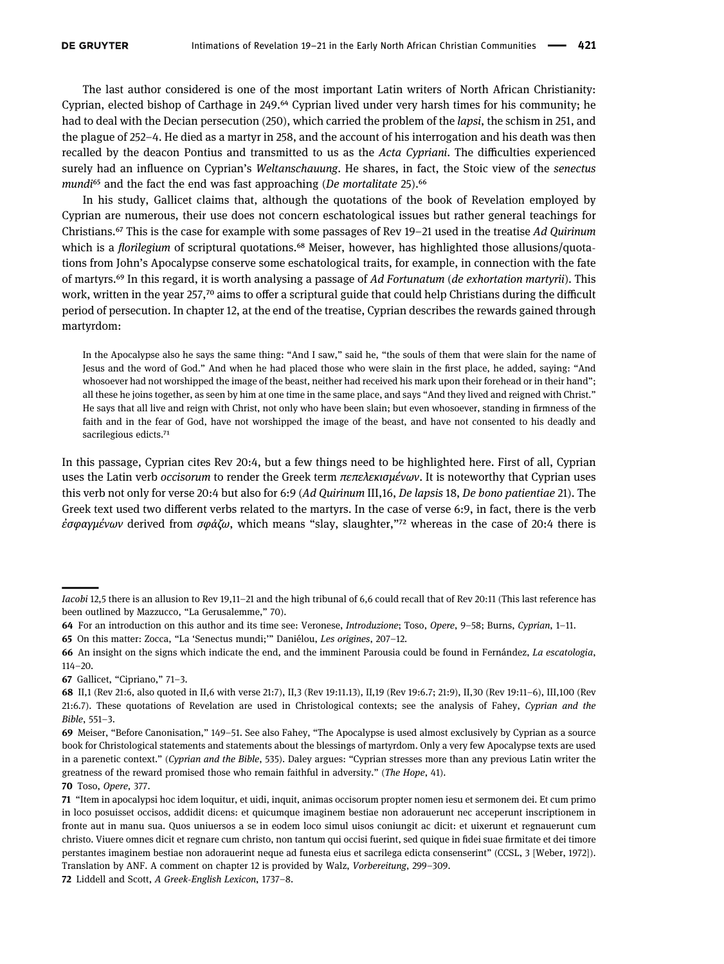The last author considered is one of the most important Latin writers of North African Christianity: Cyprian, elected bishop of Carthage in 249.<sup> $64$ </sup> Cyprian lived under very harsh times for his community; he had to deal with the Decian persecution (250), which carried the problem of the *lapsi*, the schism in 251, and the plague of 252–4. He died as a martyr in 258, and the account of his interrogation and his death was then recalled by the deacon Pontius and transmitted to us as the Acta Cypriani. The difficulties experienced surely had an influence on Cyprian's Weltanschauung. He shares, in fact, the Stoic view of the senectus mundi<sup>65</sup> and the fact the end was fast approaching (De mortalitate 25).<sup>66</sup>

In his study, Gallicet claims that, although the quotations of the book of Revelation employed by Cyprian are numerous, their use does not concern eschatological issues but rather general teachings for Christians.<sup> $\epsilon$ </sup> This is the case for example with some passages of Rev 19–21 used in the treatise Ad Quirinum which is a *florilegium* of scriptural quotations.<sup>68</sup> Meiser, however, has highlighted those allusions/quotations from John's Apocalypse conserve some eschatological traits, for example, in connection with the fate of martyrs.<sup>69</sup> In this regard, it is worth analysing a passage of Ad Fortunatum (de exhortation martyrii). This work, written in the year  $257$ ,<sup>70</sup> aims to offer a scriptural guide that could help Christians during the difficult period of persecution. In chapter 12, at the end of the treatise, Cyprian describes the rewards gained through martyrdom:

In the Apocalypse also he says the same thing: "And I saw," said he, "the souls of them that were slain for the name of Jesus and the word of God." And when he had placed those who were slain in the first place, he added, saying: "And whosoever had not worshipped the image of the beast, neither had received his mark upon their forehead or in their hand"; all these he joins together, as seen by him at one time in the same place, and says "And they lived and reigned with Christ." He says that all live and reign with Christ, not only who have been slain; but even whosoever, standing in firmness of the faith and in the fear of God, have not worshipped the image of the beast, and have not consented to his deadly and sacrilegious edicts.<sup>71</sup>

In this passage, Cyprian cites Rev 20:4, but a few things need to be highlighted here. First of all, Cyprian uses the Latin verb occisorum to render the Greek term πεπελεκισμένων. It is noteworthy that Cyprian uses this verb not only for verse 20:4 but also for 6:9 (Ad Quirinum III,16, De lapsis 18, De bono patientiae 21). The Greek text used two different verbs related to the martyrs. In the case of verse 6:9, in fact, there is the verb έσφαγμένων derived from σφάζω, which means "slay, slaughter,"<sup>72</sup> whereas in the case of 20:4 there is

Iacobi 12,5 there is an allusion to Rev 19,11–21 and the high tribunal of 6,6 could recall that of Rev 20:11 (This last reference has been outlined by [Mazzucco,](#page-12-19) "La Gerusalemme," 70).

<span id="page-8-0"></span><sup>64</sup> For an introduction on this author and its time see: [Veronese,](#page-12-25) Introduzione; [Toso](#page-12-26), Opere, 9–58; [Burns](#page-10-8), Cyprian, 1–11.

<span id="page-8-1"></span><sup>65</sup> On this matter: [Zocca,](#page-12-27) "La 'Senectus mundi;'" [Daniélou](#page-11-5), Les origines, 207–12.

<span id="page-8-2"></span><sup>66</sup> An insight on the signs which indicate the end, and the imminent Parousia could be found in [Fernández,](#page-11-6) La escatologia, 114–20.

<span id="page-8-3"></span><sup>67</sup> [Gallicet,](#page-11-25) "Cipriano," 71–3.

<span id="page-8-4"></span><sup>68</sup> II,1 (Rev 21:6, also quoted in II,6 with verse 21:7), II,3 (Rev 19:11.13), II,19 (Rev 19:6.7; 21:9), II,30 (Rev 19:11–6), III,100 (Rev 21:6.7). These quotations of Revelation are used in Christological contexts; see the analysis of [Fahey,](#page-11-26) Cyprian and the Bible, 551–3.

<span id="page-8-5"></span><sup>69</sup> [Meiser,](#page-12-7) "Before Canonisation," 149–51. See also [Fahey](#page-11-26), "The Apocalypse is used almost exclusively by Cyprian as a source book for Christological statements and statements about the blessings of martyrdom. Only a very few Apocalypse texts are used in a parenetic context." (Cyprian and the Bible, 535). [Daley](#page-11-7) argues: "Cyprian stresses more than any previous Latin writer the greatness of the reward promised those who remain faithful in adversity." (The Hope, 41).

<span id="page-8-6"></span><sup>70</sup> [Toso](#page-12-26), Opere, 377.

<span id="page-8-7"></span><sup>71</sup> "Item in apocalypsi hoc idem loquitur, et uidi, inquit, animas occisorum propter nomen iesu et sermonem dei. Et cum primo in loco posuisset occisos, addidit dicens: et quicumque imaginem bestiae non adorauerunt nec acceperunt inscriptionem in fronte aut in manu sua. Quos uniuersos a se in eodem loco simul uisos coniungit ac dicit: et uixerunt et regnauerunt cum christo. Viuere omnes dicit et regnare cum christo, non tantum qui occisi fuerint, sed quique in fidei suae firmitate et dei timore perstantes imaginem bestiae non adorauerint neque ad funesta eius et sacrilega edicta consenserint" (CCSL, 3 [Weber, 1972]). Translation by ANF. A comment on chapter 12 is provided by [Walz](#page-12-28), Vorbereitung, 299–309.

<span id="page-8-8"></span><sup>72</sup> Liddell and Scott, A Greek-English Lexicon, 1737–8.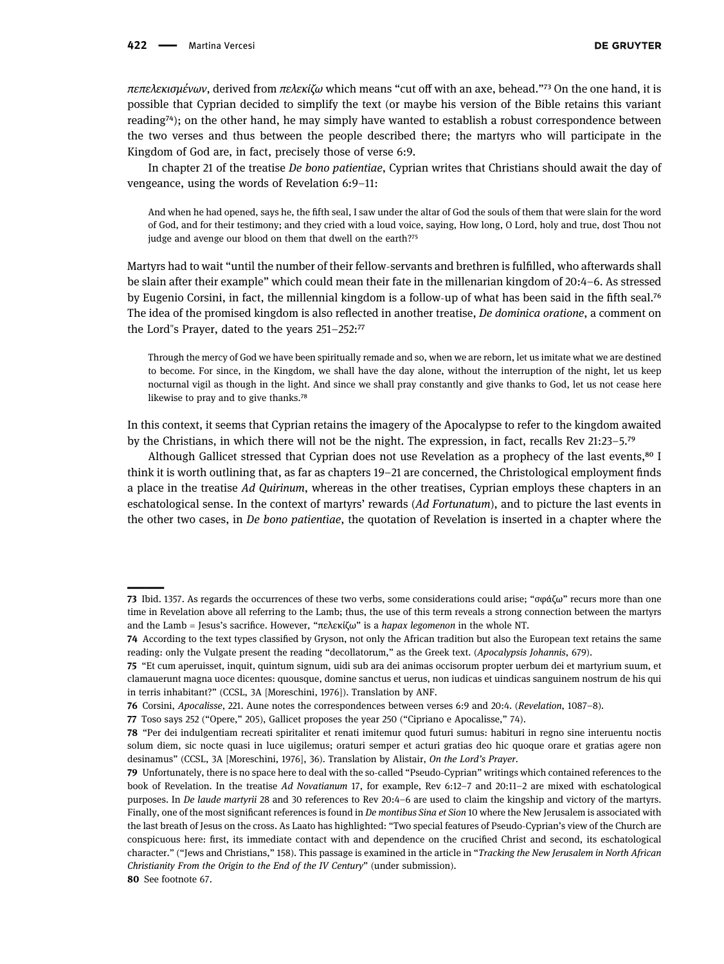πεπελεκισμένων, derived from πελεκίζω which means "cut off with an axe, behead."<sup>73</sup> On the one hand, it is possible that Cyprian decided to simplify the text (or maybe his version of the Bible retains this variant reading<sup>74</sup>); on the other hand, he may simply have wanted to establish a robust correspondence between the two verses and thus between the people described there; the martyrs who will participate in the Kingdom of God are, in fact, precisely those of verse 6:9.

In chapter 21 of the treatise De bono patientiae, Cyprian writes that Christians should await the day of vengeance, using the words of Revelation 6:9–11:

And when he had opened, says he, the fifth seal, I saw under the altar of God the souls of them that were slain for the word of God, and for their testimony; and they cried with a loud voice, saying, How long, O Lord, holy and true, dost Thou not judge and avenge our blood on them that dwell on the earth?<sup>75</sup>

Martyrs had to wait "until the number of their fellow-servants and brethren is fulfilled, who afterwards shall be slain after their example" which could mean their fate in the millenarian kingdom of 20:4–6. As stressed by Eugenio Corsini, in fact, the millennial kingdom is a follow-up of what has been said in the fifth seal.<sup>76</sup> The idea of the promised kingdom is also reflected in another treatise, De dominica oratione, a comment on the Lord"s Prayer, dated to the years  $251-252$ :<sup>77</sup>

Through the mercy of God we have been spiritually remade and so, when we are reborn, let us imitate what we are destined to become. For since, in the Kingdom, we shall have the day alone, without the interruption of the night, let us keep nocturnal vigil as though in the light. And since we shall pray constantly and give thanks to God, let us not cease here likewise to pray and to give thanks.<sup>78</sup>

In this context, it seems that Cyprian retains the imagery of the Apocalypse to refer to the kingdom awaited by the Christians, in which there will not be the night. The expression, in fact, recalls Rev  $21:23-5.^{79}$ 

Although Gallicet stressed that Cyprian does not use Revelation as a prophecy of the last events,<sup>80</sup> I think it is worth outlining that, as far as chapters 19–21 are concerned, the Christological employment finds a place in the treatise Ad Quirinum, whereas in the other treatises, Cyprian employs these chapters in an eschatological sense. In the context of martyrs' rewards (Ad Fortunatum), and to picture the last events in the other two cases, in De bono patientiae, the quotation of Revelation is inserted in a chapter where the

<span id="page-9-7"></span>80 See footnote 67.

<span id="page-9-0"></span><sup>73</sup> Ibid. 1357. As regards the occurrences of these two verbs, some considerations could arise; "σφάζω" recurs more than one time in Revelation above all referring to the Lamb; thus, the use of this term reveals a strong connection between the martyrs and the Lamb = Jesus's sacrifice. However, "πελεκίζω" is a hapax legomenon in the whole NT.

<span id="page-9-1"></span><sup>74</sup> According to the text types classified by [Gryson](#page-11-27), not only the African tradition but also the European text retains the same reading: only the Vulgate present the reading "decollatorum," as the Greek text. (Apocalypsis Johannis, 679).

<span id="page-9-2"></span><sup>75</sup> "Et cum aperuisset, inquit, quintum signum, uidi sub ara dei animas occisorum propter uerbum dei et martyrium suum, et clamauerunt magna uoce dicentes: quousque, domine sanctus et uerus, non iudicas et uindicas sanguinem nostrum de his qui in terris inhabitant?" (CCSL, 3A [[Moreschini](#page-12-18), 1976]). Translation by ANF.

<span id="page-9-3"></span><sup>76</sup> [Corsini,](#page-11-28) Apocalisse, 221. [Aune](#page-10-9) notes the correspondences between verses 6:9 and 20:4. (Revelation, 1087–8).

<span id="page-9-4"></span><sup>77</sup> [Toso](#page-12-26) says 252 ("Opere," 205), [Gallicet](#page-11-25) proposes the year 250 ("Cipriano e Apocalisse," 74).

<span id="page-9-5"></span><sup>78</sup> "Per dei indulgentiam recreati spiritaliter et renati imitemur quod futuri sumus: habituri in regno sine interuentu noctis solum diem, sic nocte quasi in luce uigilemus; oraturi semper et acturi gratias deo hic quoque orare et gratias agere non desinamus" (CCSL, 3A [[Moreschini,](#page-12-18) 1976], 36). Translation by [Alistair](#page-12-29), On the Lord's Prayer.

<span id="page-9-6"></span><sup>79</sup> Unfortunately, there is no space here to deal with the so-called "Pseudo-Cyprian" writings which contained references to the book of Revelation. In the treatise Ad Novatianum 17, for example, Rev 6:12–7 and 20:11–2 are mixed with eschatological purposes. In De laude martyrii 28 and 30 references to Rev 20:4–6 are used to claim the kingship and victory of the martyrs. Finally, one of the most significant references is found in De montibus Sina et Sion 10 where the New Jerusalem is associated with the last breath of Jesus on the cross. As [Laato](#page-11-29) has highlighted: "Two special features of Pseudo-Cyprian's view of the Church are conspicuous here: first, its immediate contact with and dependence on the crucified Christ and second, its eschatological character." ("Jews and Christians," 158). This passage is examined in the article in "Tracking the New Jerusalem in North African Christianity From the Origin to the End of the IV Century" (under submission).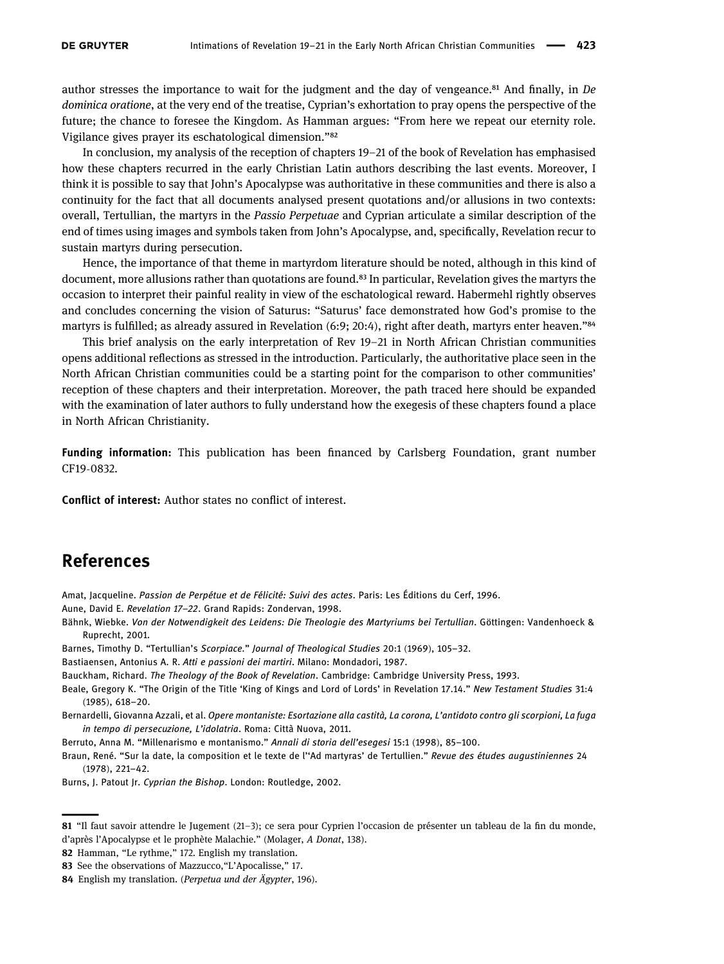author stresses the importance to wait for the judgment and the day of vengeance.<sup>81</sup> And finally, in De dominica oratione, at the very end of the treatise, Cyprian's exhortation to pray opens the perspective of the future; the chance to foresee the Kingdom. As Hamman argues: "From here we repeat our eternity role. Vigilance gives prayer its eschatological dimension."<sup>82</sup>

In conclusion, my analysis of the reception of chapters 19–21 of the book of Revelation has emphasised how these chapters recurred in the early Christian Latin authors describing the last events. Moreover, I think it is possible to say that John's Apocalypse was authoritative in these communities and there is also a continuity for the fact that all documents analysed present quotations and/or allusions in two contexts: overall, Tertullian, the martyrs in the Passio Perpetuae and Cyprian articulate a similar description of the end of times using images and symbols taken from John's Apocalypse, and, specifically, Revelation recur to sustain martyrs during persecution.

Hence, the importance of that theme in martyrdom literature should be noted, although in this kind of document, more allusions rather than quotations are found.<sup>83</sup> In particular, Revelation gives the martyrs the occasion to interpret their painful reality in view of the eschatological reward. Habermehl rightly observes and concludes concerning the vision of Saturus: "Saturus' face demonstrated how God's promise to the martyrs is fulfilled; as already assured in Revelation (6:9; 20:4), right after death, martyrs enter heaven."<sup>84</sup>

This brief analysis on the early interpretation of Rev 19–21 in North African Christian communities opens additional reflections as stressed in the introduction. Particularly, the authoritative place seen in the North African Christian communities could be a starting point for the comparison to other communities' reception of these chapters and their interpretation. Moreover, the path traced here should be expanded with the examination of later authors to fully understand how the exegesis of these chapters found a place in North African Christianity.

Funding information: This publication has been financed by Carlsberg Foundation, grant number CF19-0832.

Conflict of interest: Author states no conflict of interest.

## References

<span id="page-10-10"></span> $\overline{\phantom{a}}$ 

<span id="page-10-7"></span>Amat, Jacqueline. Passion de Perpétue et de Félicité: Suivi des actes. Paris: Les Éditions du Cerf, 1996.

<span id="page-10-9"></span>Aune, David E. Revelation 17–22. Grand Rapids: Zondervan, 1998.

<span id="page-10-3"></span>Bähnk, Wiebke. Von der Notwendigkeit des Leidens: Die Theologie des Martyriums bei Tertullian. Göttingen: Vandenhoeck & Ruprecht, 2001.

<span id="page-10-5"></span>Barnes, Timothy D. "Tertullian's Scorpiace." Journal of Theological Studies 20:1 (1969), 105–32.

<span id="page-10-1"></span>Bastiaensen, Antonius A. R. Atti e passioni dei martiri. Milano: Mondadori, 1987.

<span id="page-10-0"></span>Bauckham, Richard. The Theology of the Book of Revelation. Cambridge: Cambridge University Press, 1993.

- <span id="page-10-2"></span>Beale, Gregory K. "The Origin of the Title 'King of Kings and Lord of Lords' in Revelation 17.14." New Testament Studies 31:4 (1985), 618–20.
- <span id="page-10-6"></span>Bernardelli, Giovanna Azzali, et al. Opere montaniste: Esortazione alla castità, La corona, L'antidoto contro gli scorpioni, La fuga in tempo di persecuzione, L'idolatria. Roma: Città Nuova, 2011.

<span id="page-10-4"></span>Berruto, Anna M. "Millenarismo e montanismo." Annali di storia dell'esegesi 15:1 (1998), 85–100.

Braun, René. "Sur la date, la composition et le texte de l''Ad martyras' de Tertullien." Revue des études augustiniennes 24 (1978), 221–42.

<span id="page-10-8"></span>Burns, J. Patout Jr. Cyprian the Bishop. London: Routledge, 2002.

<span id="page-10-11"></span>82 [Hamman,](#page-11-30) "Le rythme," 172. English my translation.

<sup>81</sup> "Il faut savoir attendre le Jugement (21–3); ce sera pour Cyprien l'occasion de présenter un tableau de la fin du monde, d'après l'Apocalypse et le prophète Malachie." ([Molager,](#page-12-30) A Donat, 138).

<span id="page-10-12"></span><sup>83</sup> See the observations of [Mazzucco,](#page-12-31) "L'Apocalisse," 17.

<span id="page-10-13"></span><sup>84</sup> English my translation. (Perpetua und der Ägypter, 196).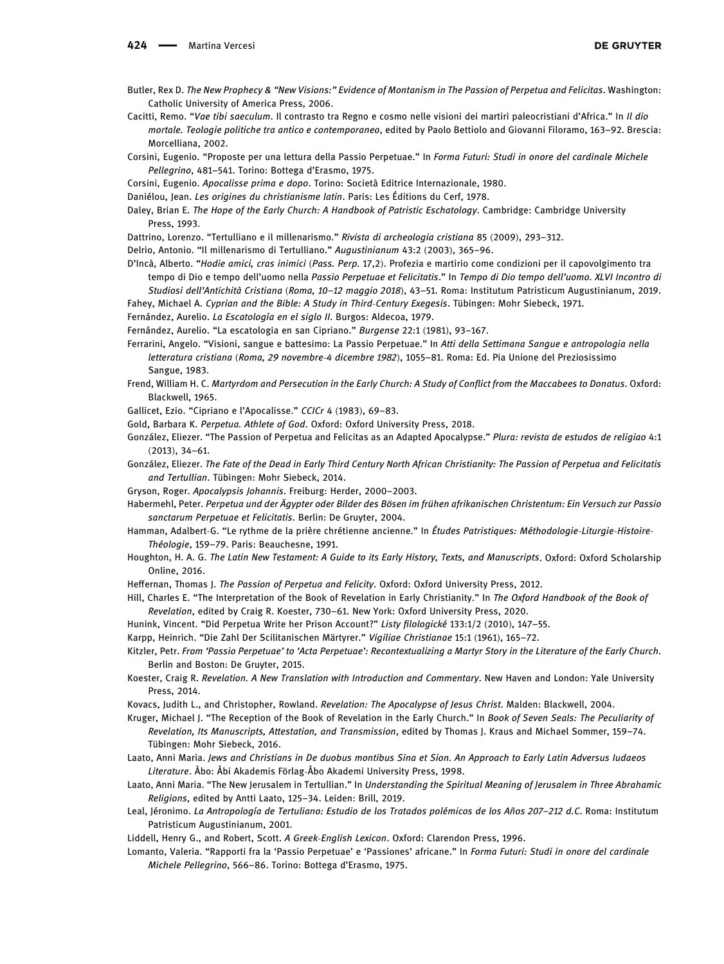- <span id="page-11-16"></span>Butler, Rex D. The New Prophecy & "New Visions:" Evidence of Montanism in The Passion of Perpetua and Felicitas. Washington: Catholic University of America Press, 2006.
- <span id="page-11-20"></span>Cacitti, Remo. "Vae tibi saeculum. Il contrasto tra Regno e cosmo nelle visioni dei martiri paleocristiani d'Africa." In Il dio mortale. Teologie politiche tra antico e contemporaneo, edited by Paolo Bettiolo and Giovanni Filoramo, 163–92. Brescia: Morcelliana, 2002.
- <span id="page-11-18"></span>Corsini, Eugenio. "Proposte per una lettura della Passio Perpetuae." In Forma Futuri: Studi in onore del cardinale Michele Pellegrino, 481–541. Torino: Bottega d'Erasmo, 1975.
- <span id="page-11-28"></span>Corsini, Eugenio. Apocalisse prima e dopo. Torino: Società Editrice Internazionale, 1980.
- <span id="page-11-5"></span>Daniélou, Jean. Les origines du christianisme latin. Paris: Les Éditions du Cerf, 1978.
- <span id="page-11-7"></span>Daley, Brian E. The Hope of the Early Church: A Handbook of Patristic Eschatology. Cambridge: Cambridge University Press, 1993.
- <span id="page-11-8"></span>Dattrino, Lorenzo. "Tertulliano e il millenarismo." Rivista di archeologia cristiana 85 (2009), 293–312.
- <span id="page-11-9"></span>Delrio, Antonio. "Il millenarismo di Tertulliano." Augustinianum 43:2 (2003), 365–96.
- <span id="page-11-23"></span>D'Incà, Alberto. "Hodie amici, cras inimici (Pass. Perp. 17,2). Profezia e martirio come condizioni per il capovolgimento tra tempo di Dio e tempo dell'uomo nella Passio Perpetuae et Felicitatis." In Tempo di Dio tempo dell'uomo. XLVI Incontro di Studiosi dell'Antichità Cristiana (Roma, 10–12 maggio 2018), 43–51. Roma: Institutum Patristicum Augustinianum, 2019. Fahey, Michael A. Cyprian and the Bible: A Study in Third-Century Exegesis. Tübingen: Mohr Siebeck, 1971.
- <span id="page-11-26"></span><span id="page-11-6"></span>Fernández, Aurelio. La Escatología en el siglo II. Burgos: Aldecoa, 1979.
- Fernández, Aurelio. "La escatologia en san Cipriano." Burgense 22:1 (1981), 93–167.
- <span id="page-11-22"></span>Ferrarini, Angelo. "Visioni, sangue e battesimo: La Passio Perpetuae." In Atti della Settimana Sangue e antropologia nella letteratura cristiana (Roma, 29 novembre-4 dicembre 1982), 1055–81. Roma: Ed. Pia Unione del Preziosissimo Sangue, 1983.
- <span id="page-11-4"></span>Frend, William H. C. Martyrdom and Persecution in the Early Church: A Study of Conflict from the Maccabees to Donatus. Oxford: Blackwell, 1965.
- <span id="page-11-25"></span>Gallicet, Ezio. "Cipriano e l'Apocalisse." CCICr 4 (1983), 69–83.
- <span id="page-11-12"></span>Gold, Barbara K. Perpetua. Athlete of God. Oxford: Oxford University Press, 2018.
- <span id="page-11-19"></span>González, Eliezer. "The Passion of Perpetua and Felicitas as an Adapted Apocalypse." Plura: revista de estudos de religiao 4:1 (2013), 34–61.
- <span id="page-11-14"></span>González, Eliezer. The Fate of the Dead in Early Third Century North African Christianity: The Passion of Perpetua and Felicitatis and Tertullian. Tübingen: Mohr Siebeck, 2014.
- <span id="page-11-27"></span>Gryson, Roger. Apocalypsis Johannis. Freiburg: Herder, 2000–2003.
- <span id="page-11-21"></span>Habermehl, Peter. Perpetua und der Ägypter oder Bilder des Bösen im frühen afrikanischen Christentum: Ein Versuch zur Passio sanctarum Perpetuae et Felicitatis. Berlin: De Gruyter, 2004.
- <span id="page-11-30"></span>Hamman, Adalbert-G. "Le rythme de la prière chrétienne ancienne." In Études Patristiques: Méthodologie-Liturgie-Histoire-Théologie, 159–79. Paris: Beauchesne, 1991.
- <span id="page-11-2"></span>Houghton, H. A. G. The Latin New Testament: A Guide to its Early History, Texts, and Manuscripts. Oxford: Oxford Scholarship Online, 2016.
- <span id="page-11-13"></span>Heffernan, Thomas J. The Passion of Perpetua and Felicity. Oxford: Oxford University Press, 2012.
- Hill, Charles E. "The Interpretation of the Book of Revelation in Early Christianity." In The Oxford Handbook of the Book of Revelation, edited by Craig R. Koester, 730–61. New York: Oxford University Press, 2020.
- <span id="page-11-17"></span>Hunink, Vincent. "Did Perpetua Write her Prison Account?" Listy filologické 133:1/2 (2010), 147–55.
- <span id="page-11-3"></span>Karpp, Heinrich. "Die Zahl Der Scilitanischen Märtyrer." Vigiliae Christianae 15:1 (1961), 165–72.
- <span id="page-11-15"></span>Kitzler, Petr. From 'Passio Perpetuae' to 'Acta Perpetuae': Recontextualizing a Martyr Story in the Literature of the Early Church. Berlin and Boston: De Gruyter, 2015.
- <span id="page-11-1"></span>Koester, Craig R. Revelation. A New Translation with Introduction and Commentary. New Haven and London: Yale University Press, 2014.
- Kovacs, Judith L., and Christopher, Rowland. Revelation: The Apocalypse of Jesus Christ. Malden: Blackwell, 2004.
- <span id="page-11-0"></span>Kruger, Michael J. "The Reception of the Book of Revelation in the Early Church." In Book of Seven Seals: The Peculiarity of Revelation, Its Manuscripts, Attestation, and Transmission, edited by Thomas J. Kraus and Michael Sommer, 159–74. Tübingen: Mohr Siebeck, 2016.
- <span id="page-11-29"></span>Laato, Anni Maria. Jews and Christians in De duobus montibus Sina et Sion. An Approach to Early Latin Adversus Iudaeos Literature. Åbo: Åbi Akademis Förlag-Åbo Akademi University Press, 1998.
- <span id="page-11-11"></span>Laato, Anni Maria. "The New Jerusalem in Tertullian." In Understanding the Spiritual Meaning of Jerusalem in Three Abrahamic Religions, edited by Antti Laato, 125–34. Leiden: Brill, 2019.
- <span id="page-11-10"></span>Leal, Jéronimo. La Antropología de Tertuliano: Estudio de los Tratados polémicos de los Años 207–212 d.C. Roma: Institutum Patristicum Augustinianum, 2001.
- Liddell, Henry G., and Robert, Scott. A Greek-English Lexicon. Oxford: Clarendon Press, 1996.
- <span id="page-11-24"></span>Lomanto, Valeria. "Rapporti fra la 'Passio Perpetuae' e 'Passiones' africane." In Forma Futuri: Studi in onore del cardinale Michele Pellegrino, 566–86. Torino: Bottega d'Erasmo, 1975.